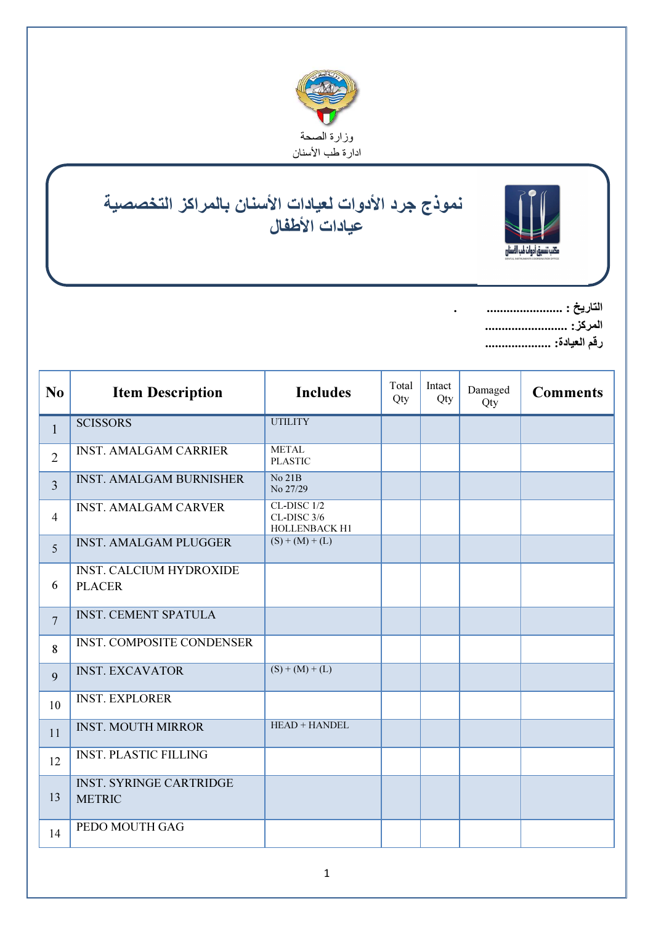

## $\overline{a}$ ۱ نموذج جرد الأدوات لعيادات الأسنان بالمراكز التخصصية عيادات اطفال



التاريخ : ....................... . المركز: ......................... رقم العيادة: ....................

Ī

| N <sub>o</sub> | <b>Item Description</b>                         | <b>Includes</b>                             | Total<br>Qty | Intact<br>Qty | Damaged<br>Qty | <b>Comments</b> |
|----------------|-------------------------------------------------|---------------------------------------------|--------------|---------------|----------------|-----------------|
| $\mathbf{1}$   | <b>SCISSORS</b>                                 | <b>UTILITY</b>                              |              |               |                |                 |
| $\overline{2}$ | <b>INST. AMALGAM CARRIER</b>                    | <b>METAL</b><br><b>PLASTIC</b>              |              |               |                |                 |
| $\overline{3}$ | <b>INST. AMALGAM BURNISHER</b>                  | No 21B<br>No 27/29                          |              |               |                |                 |
| $\overline{4}$ | <b>INST. AMALGAM CARVER</b>                     | CL-DISC 1/2<br>CL-DISC 3/6<br>HOLLENBACK H1 |              |               |                |                 |
| $\overline{5}$ | <b>INST. AMALGAM PLUGGER</b>                    | $(S) + (M) + (L)$                           |              |               |                |                 |
| 6              | <b>INST. CALCIUM HYDROXIDE</b><br><b>PLACER</b> |                                             |              |               |                |                 |
| $\overline{7}$ | <b>INST. CEMENT SPATULA</b>                     |                                             |              |               |                |                 |
| 8              | <b>INST. COMPOSITE CONDENSER</b>                |                                             |              |               |                |                 |
| 9              | <b>INST. EXCAVATOR</b>                          | $(S) + (M) + (L)$                           |              |               |                |                 |
| 10             | <b>INST. EXPLORER</b>                           |                                             |              |               |                |                 |
| 11             | <b>INST. MOUTH MIRROR</b>                       | HEAD + HANDEL                               |              |               |                |                 |
| 12             | <b>INST. PLASTIC FILLING</b>                    |                                             |              |               |                |                 |
| 13             | <b>INST. SYRINGE CARTRIDGE</b><br><b>METRIC</b> |                                             |              |               |                |                 |
| 14             | PEDO MOUTH GAG                                  |                                             |              |               |                |                 |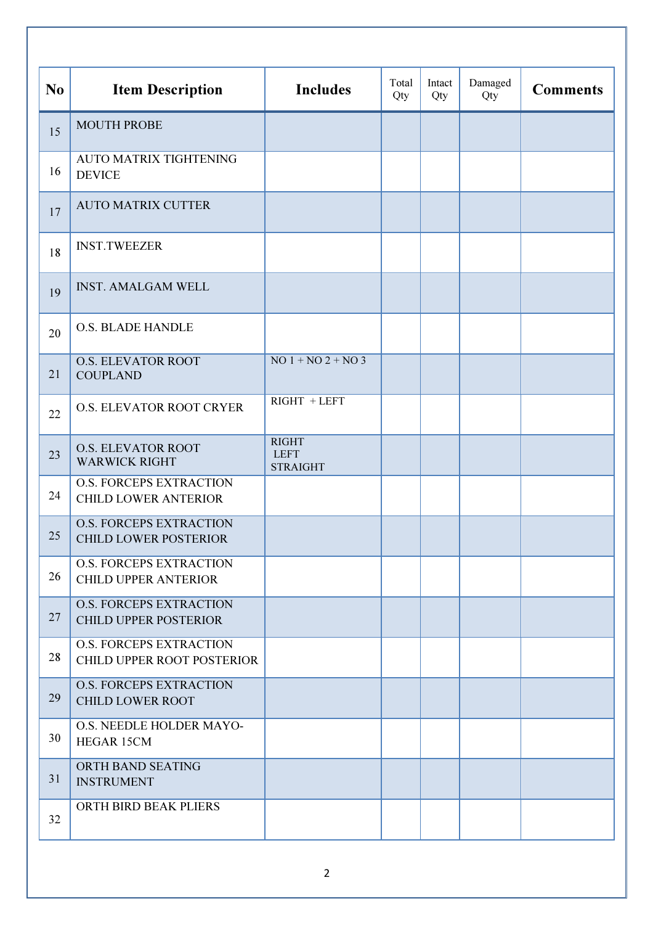| N <sub>0</sub> | <b>Item Description</b>                                        | <b>Includes</b>                                | Total<br>Qty | Intact<br>Qty | Damaged<br>Qty | <b>Comments</b> |
|----------------|----------------------------------------------------------------|------------------------------------------------|--------------|---------------|----------------|-----------------|
| 15             | <b>MOUTH PROBE</b>                                             |                                                |              |               |                |                 |
| 16             | <b>AUTO MATRIX TIGHTENING</b><br><b>DEVICE</b>                 |                                                |              |               |                |                 |
| 17             | <b>AUTO MATRIX CUTTER</b>                                      |                                                |              |               |                |                 |
| 18             | <b>INST.TWEEZER</b>                                            |                                                |              |               |                |                 |
| 19             | <b>INST. AMALGAM WELL</b>                                      |                                                |              |               |                |                 |
| 20             | <b>O.S. BLADE HANDLE</b>                                       |                                                |              |               |                |                 |
| 21             | <b>O.S. ELEVATOR ROOT</b><br><b>COUPLAND</b>                   | $NO$ 1 + $NO$ 2 + $NO$ 3                       |              |               |                |                 |
| 22             | O.S. ELEVATOR ROOT CRYER                                       | $RIGHT + LEFT$                                 |              |               |                |                 |
| 23             | <b>O.S. ELEVATOR ROOT</b><br><b>WARWICK RIGHT</b>              | <b>RIGHT</b><br><b>LEFT</b><br><b>STRAIGHT</b> |              |               |                |                 |
| 24             | <b>O.S. FORCEPS EXTRACTION</b><br><b>CHILD LOWER ANTERIOR</b>  |                                                |              |               |                |                 |
| 25             | <b>O.S. FORCEPS EXTRACTION</b><br><b>CHILD LOWER POSTERIOR</b> |                                                |              |               |                |                 |
| 26             | <b>O.S. FORCEPS EXTRACTION</b><br><b>CHILD UPPER ANTERIOR</b>  |                                                |              |               |                |                 |
| 27             | <b>O.S. FORCEPS EXTRACTION</b><br><b>CHILD UPPER POSTERIOR</b> |                                                |              |               |                |                 |
| 28             | <b>O.S. FORCEPS EXTRACTION</b><br>CHILD UPPER ROOT POSTERIOR   |                                                |              |               |                |                 |
| 29             | <b>O.S. FORCEPS EXTRACTION</b><br><b>CHILD LOWER ROOT</b>      |                                                |              |               |                |                 |
| 30             | O.S. NEEDLE HOLDER MAYO-<br><b>HEGAR 15CM</b>                  |                                                |              |               |                |                 |
| 31             | ORTH BAND SEATING<br><b>INSTRUMENT</b>                         |                                                |              |               |                |                 |
| 32             | ORTH BIRD BEAK PLIERS                                          |                                                |              |               |                |                 |